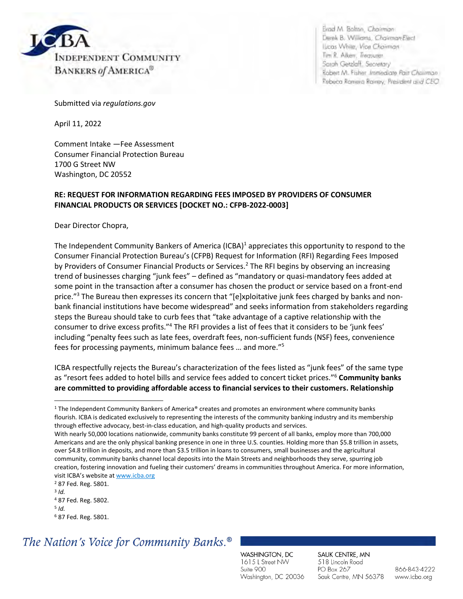

Brad M. Bolton, Chairman Derek B. Williams, Chairman-Elect Lucas While, Vice Chairman Tim R. Alken, Treasurer. Sarah Getzlaff, Secretary Robert M. Fisher Immediate Past Chairman Rebeca Ramera Rainey, President and CEO

Submitted via *regulations.gov* 

April 11, 2022

Comment Intake —Fee Assessment Consumer Financial Protection Bureau 1700 G Street NW Washington, DC 20552

#### **RE: REQUEST FOR INFORMATION REGARDING FEES IMPOSED BY PROVIDERS OF CONSUMER FINANCIAL PRODUCTS OR SERVICES [DOCKET NO.: CFPB-2022-0003]**

Dear Director Chopra,

The Independent Community Bankers of America (ICBA)<sup>1</sup> appreciates this opportunity to respond to the Consumer Financial Protection Bureau's (CFPB) Request for Information (RFI) Regarding Fees Imposed by Providers of Consumer Financial Products or Services.<sup>2</sup> The RFI begins by observing an increasing trend of businesses charging "junk fees" – defined as "mandatory or quasi-mandatory fees added at some point in the transaction after a consumer has chosen the product or service based on a front-end price."<sup>3</sup> The Bureau then expresses its concern that "[e]xploitative junk fees charged by banks and nonbank financial institutions have become widespread" and seeks information from stakeholders regarding steps the Bureau should take to curb fees that "take advantage of a captive relationship with the consumer to drive excess profits."<sup>4</sup> The RFI provides a list of fees that it considers to be 'junk fees' including "penalty fees such as late fees, overdraft fees, non-sufficient funds (NSF) fees, convenience fees for processing payments, minimum balance fees … and more."<sup>5</sup>

ICBA respectfully rejects the Bureau's characterization of the fees listed as "junk fees" of the same type as "resort fees added to hotel bills and service fees added to concert ticket prices."<sup>6</sup> **Community banks are committed to providing affordable access to financial services to their customers. Relationship** 

## The Nation's Voice for Community Banks.<sup>®</sup>

WASHINGTON, DC 1615 L Street NW Suite 900 Washington, DC 20036 SAUK CENTRE, MN 518 Lincoln Road PO Box 267 Sauk Centre, MN 56378

<sup>1</sup> The Independent Community Bankers of America® creates and promotes an environment where community banks flourish. ICBA is dedicated exclusively to representing the interests of the community banking industry and its membership through effective advocacy, best-in-class education, and high-quality products and services.

With nearly 50,000 locations nationwide, community banks constitute 99 percent of all banks, employ more than 700,000 Americans and are the only physical banking presence in one in three U.S. counties. Holding more than \$5.8 trillion in assets, over \$4.8 trillion in deposits, and more than \$3.5 trillion in loans to consumers, small businesses and the agricultural community, community banks channel local deposits into the Main Streets and neighborhoods they serve, spurring job creation, fostering innovation and fueling their customers' dreams in communities throughout America. For more information, visit ICBA's website at [www.icba.org](https://nam04.safelinks.protection.outlook.com/?url=http://www.icba.org/&data=04%7c01%7cJana.Jurukovska%40icba.org%7c5e325f56acaa4957532508d968967415%7c3747d660735d42638188bb679df6d3c0%7c0%7c0%7c637655817662479062%7cUnknown%7cTWFpbGZsb3d8eyJWIjoiMC4wLjAwMDAiLCJQIjoiV2luMzIiLCJBTiI6Ik1haWwiLCJXVCI6Mn0%3D%7c1000&sdata=8FtlC1iIJxw/utCOIvfZQ7%2BqXJRaz0RmJWx1E%2BtB4fc%3D&reserved=0)

<sup>2</sup> 87 Fed. Reg. 5801.

<sup>3</sup> *Id.*

<sup>4</sup> 87 Fed. Reg. 5802.

<sup>5</sup> *Id.*

<sup>6</sup> 87 Fed. Reg. 5801.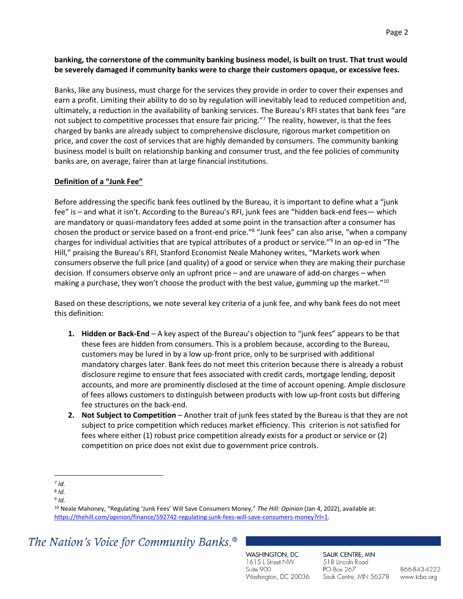### **banking, the cornerstone of the community banking business model, is built on trust. That trust would be severely damaged if community banks were to charge their customers opaque, or excessive fees.**

Banks, like any business, must charge for the services they provide in order to cover their expenses and earn a profit. Limiting their ability to do so by regulation will inevitably lead to reduced competition and, ultimately, a reduction in the availability of banking services. The Bureau's RFI states that bank fees "are not subject to competitive processes that ensure fair pricing."<sup>7</sup> The reality, however, is that the fees charged by banks are already subject to comprehensive disclosure, rigorous market competition on price, and cover the cost of services that are highly demanded by consumers. The community banking business model is built on relationship banking and consumer trust, and the fee policies of community banks are, on average, fairer than at large financial institutions.

#### **Definition of a "Junk Fee"**

Before addressing the specific bank fees outlined by the Bureau, it is important to define what a "junk fee" is – and what it isn't. According to the Bureau's RFI, junk fees are "hidden back-end fees— which are mandatory or quasi-mandatory fees added at some point in the transaction after a consumer has chosen the product or service based on a front-end price."<sup>8</sup> "Junk fees" can also arise, "when a company charges for individual activities that are typical attributes of a product or service."<sup>9</sup> In an op-ed in "The Hill," praising the Bureau's RFI, Stanford Economist Neale Mahoney writes, "Markets work when consumers observe the full price (and quality) of a good or service when they are making their purchase decision. If consumers observe only an upfront price – and are unaware of add-on charges – when making a purchase, they won't choose the product with the best value, gumming up the market."<sup>10</sup>

Based on these descriptions, we note several key criteria of a junk fee, and why bank fees do not meet this definition:

- **1. Hidden or Back-End** A key aspect of the Bureau's objection to "junk fees" appears to be that these fees are hidden from consumers. This is a problem because, according to the Bureau, customers may be lured in by a low up-front price, only to be surprised with additional mandatory charges later. Bank fees do not meet this criterion because there is already a robust disclosure regime to ensure that fees associated with credit cards, mortgage lending, deposit accounts, and more are prominently disclosed at the time of account opening. Ample disclosure of fees allows customers to distinguish between products with low up-front costs but differing fee structures on the back-end.
- **2. Not Subject to Competition** Another trait of junk fees stated by the Bureau is that they are not subject to price competition which reduces market efficiency. This criterion is not satisfied for fees where either (1) robust price competition already exists for a product or service or (2) competition on price does not exist due to government price controls.

## The Nation's Voice for Community Banks.<sup>®</sup>

WASHINGTON, DC 1615 L Street NW Suite 900 Washington, DC 20036 SAUK CENTRE, MN 518 Lincoln Road PO Box 267 Sauk Centre, MN 56378

<sup>7</sup> *Id.*  8 *Id.* 

<sup>9</sup> *Id.* 

<sup>10</sup> Neale Mahoney, "Regulating 'Junk Fees' Will Save Consumers Money," *The Hill: Opinion* (Jan 4, 2022), available at: [https://thehill.com/opinion/finance/592742-regulating-junk-fees-will-save-consumers-money?rl=1.](https://thehill.com/opinion/finance/592742-regulating-junk-fees-will-save-consumers-money?rl=1)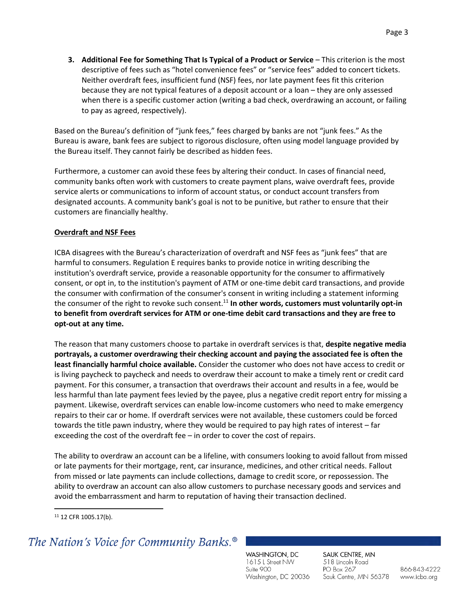**3. Additional Fee for Something That Is Typical of a Product or Service** – This criterion is the most descriptive of fees such as "hotel convenience fees" or "service fees" added to concert tickets. Neither overdraft fees, insufficient fund (NSF) fees, nor late payment fees fit this criterion because they are not typical features of a deposit account or a loan – they are only assessed when there is a specific customer action (writing a bad check, overdrawing an account, or failing to pay as agreed, respectively).

Based on the Bureau's definition of "junk fees," fees charged by banks are not "junk fees." As the Bureau is aware, bank fees are subject to rigorous disclosure, often using model language provided by the Bureau itself. They cannot fairly be described as hidden fees.

Furthermore, a customer can avoid these fees by altering their conduct. In cases of financial need, community banks often work with customers to create payment plans, waive overdraft fees, provide service alerts or communications to inform of account status, or conduct account transfers from designated accounts. A community bank's goal is not to be punitive, but rather to ensure that their customers are financially healthy.

#### **Overdraft and NSF Fees**

ICBA disagrees with the Bureau's characterization of overdraft and NSF fees as "junk fees" that are harmful to consumers. Regulation E requires banks to provide notice in writing describing the institution's overdraft service, provide a reasonable opportunity for the consumer to affirmatively consent, or opt in, to the institution's payment of ATM or one-time debit card transactions, and provide the consumer with confirmation of the consumer's consent in writing including a statement informing the consumer of the right to revoke such consent.<sup>11</sup> In other words, customers must voluntarily opt-in **to benefit from overdraft services for ATM or one-time debit card transactions and they are free to opt-out at any time.**

The reason that many customers choose to partake in overdraft services is that, **despite negative media portrayals, a customer overdrawing their checking account and paying the associated fee is often the least financially harmful choice available.** Consider the customer who does not have access to credit or is living paycheck to paycheck and needs to overdraw their account to make a timely rent or credit card payment. For this consumer, a transaction that overdraws their account and results in a fee, would be less harmful than late payment fees levied by the payee, plus a negative credit report entry for missing a payment. Likewise, overdraft services can enable low-income customers who need to make emergency repairs to their car or home. If overdraft services were not available, these customers could be forced towards the title pawn industry, where they would be required to pay high rates of interest – far exceeding the cost of the overdraft fee – in order to cover the cost of repairs.

The ability to overdraw an account can be a lifeline, with consumers looking to avoid fallout from missed or late payments for their mortgage, rent, car insurance, medicines, and other critical needs. Fallout from missed or late payments can include collections, damage to credit score, or repossession. The ability to overdraw an account can also allow customers to purchase necessary goods and services and avoid the embarrassment and harm to reputation of having their transaction declined.

## The Nation's Voice for Community Banks.<sup>®</sup>

WASHINGTON, DC 1615 L Street NW Suite 900 Washington, DC 20036 SAUK CENTRE, MN 518 Lincoln Road PO Box 267 Sauk Centre, MN 56378

<sup>11</sup> 12 CFR 1005.17(b).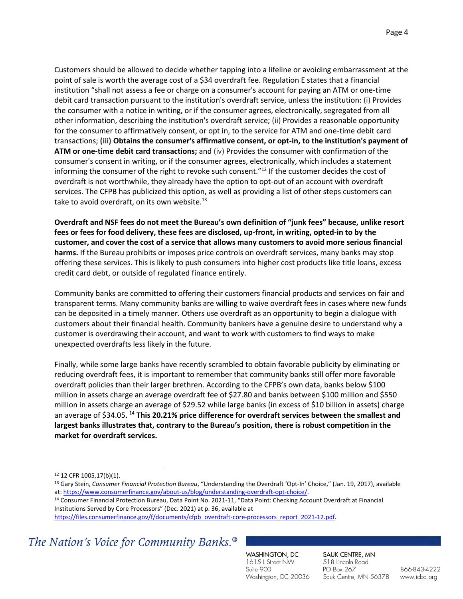Customers should be allowed to decide whether tapping into a lifeline or avoiding embarrassment at the point of sale is worth the average cost of a \$34 overdraft fee. Regulation E states that a financial institution "shall not assess a fee or charge on a consumer's account for paying an ATM or one-time debit card transaction pursuant to the institution's overdraft service, unless the institution: (i) Provides the consumer with a notice in writing, or if the consumer agrees, electronically, segregated from all other information, describing the institution's overdraft service; (ii) Provides a reasonable opportunity for the consumer to affirmatively consent, or opt in, to the service for ATM and one-time debit card transactions; **(iii) Obtains the consumer's affirmative consent, or opt-in, to the institution's payment of ATM or one-time debit card transactions;** and (iv) Provides the consumer with confirmation of the consumer's consent in writing, or if the consumer agrees, electronically, which includes a statement informing the consumer of the right to revoke such consent."<sup>12</sup> If the customer decides the cost of overdraft is not worthwhile, they already have the option to opt-out of an account with overdraft services. The CFPB has publicized this option, as well as providing a list of other steps customers can take to avoid overdraft, on its own website.<sup>13</sup>

**Overdraft and NSF fees do not meet the Bureau's own definition of "junk fees" because, unlike resort fees or fees for food delivery, these fees are disclosed, up-front, in writing, opted-in to by the customer, and cover the cost of a service that allows many customers to avoid more serious financial harms.** If the Bureau prohibits or imposes price controls on overdraft services, many banks may stop offering these services. This is likely to push consumers into higher cost products like title loans, excess credit card debt, or outside of regulated finance entirely.

Community banks are committed to offering their customers financial products and services on fair and transparent terms. Many community banks are willing to waive overdraft fees in cases where new funds can be deposited in a timely manner. Others use overdraft as an opportunity to begin a dialogue with customers about their financial health. Community bankers have a genuine desire to understand why a customer is overdrawing their account, and want to work with customers to find ways to make unexpected overdrafts less likely in the future.

Finally, while some large banks have recently scrambled to obtain favorable publicity by eliminating or reducing overdraft fees, it is important to remember that community banks still offer more favorable overdraft policies than their larger brethren. According to the CFPB's own data, banks below \$100 million in assets charge an average overdraft fee of \$27.80 and banks between \$100 million and \$550 million in assets charge an average of \$29.52 while large banks (in excess of \$10 billion in assets) charge an average of \$34.05. <sup>14</sup> **This 20.21% price difference for overdraft services between the smallest and largest banks illustrates that, contrary to the Bureau's position, there is robust competition in the market for overdraft services.**

Institutions Served by Core Processors" (Dec. 2021) at p. 36, available at [https://files.consumerfinance.gov/f/documents/cfpb\\_overdraft-core-processors\\_report\\_2021-12.pdf.](https://files.consumerfinance.gov/f/documents/cfpb_overdraft-core-processors_report_2021-12.pdf)

### The Nation's Voice for Community Banks.<sup>®</sup>

WASHINGTON, DC 1615 L Street NW Suite 900 Washington, DC 20036 SAUK CENTRE, MN 518 Lincoln Road PO Box 267 Sauk Centre, MN 56378

<sup>12</sup> 12 CFR 1005.17(b)(1).

<sup>13</sup> Gary Stein, *Consumer Financial Protection Bureau*, "Understanding the Overdraft 'Opt-In' Choice," (Jan. 19, 2017), available at: [https://www.consumerfinance.gov/about-us/blog/understanding-overdraft-opt-choice/.](https://www.consumerfinance.gov/about-us/blog/understanding-overdraft-opt-choice/)  <sup>14</sup> Consumer Financial Protection Bureau, Data Point No. 2021-11, "Data Point: Checking Account Overdraft at Financial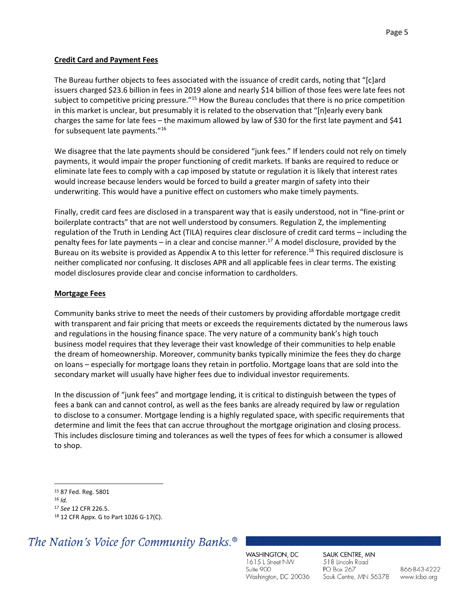### **Credit Card and Payment Fees**

The Bureau further objects to fees associated with the issuance of credit cards, noting that "[c]ard issuers charged \$23.6 billion in fees in 2019 alone and nearly \$14 billion of those fees were late fees not subject to competitive pricing pressure."<sup>15</sup> How the Bureau concludes that there is no price competition in this market is unclear, but presumably it is related to the observation that "[n]early every bank charges the same for late fees – the maximum allowed by law of \$30 for the first late payment and \$41 for subsequent late payments."<sup>16</sup>

We disagree that the late payments should be considered "junk fees." If lenders could not rely on timely payments, it would impair the proper functioning of credit markets. If banks are required to reduce or eliminate late fees to comply with a cap imposed by statute or regulation it is likely that interest rates would increase because lenders would be forced to build a greater margin of safety into their underwriting. This would have a punitive effect on customers who make timely payments.

Finally, credit card fees are disclosed in a transparent way that is easily understood, not in "fine-print or boilerplate contracts" that are not well understood by consumers. Regulation Z, the implementing regulation of the Truth in Lending Act (TILA) requires clear disclosure of credit card terms – including the penalty fees for late payments – in a clear and concise manner.<sup>17</sup> A model disclosure, provided by the Bureau on its website is provided as Appendix A to this letter for reference.<sup>18</sup> This required disclosure is neither complicated nor confusing. It discloses APR and all applicable fees in clear terms. The existing model disclosures provide clear and concise information to cardholders.

#### **Mortgage Fees**

Community banks strive to meet the needs of their customers by providing affordable mortgage credit with transparent and fair pricing that meets or exceeds the requirements dictated by the numerous laws and regulations in the housing finance space. The very nature of a community bank's high touch business model requires that they leverage their vast knowledge of their communities to help enable the dream of homeownership. Moreover, community banks typically minimize the fees they do charge on loans – especially for mortgage loans they retain in portfolio. Mortgage loans that are sold into the secondary market will usually have higher fees due to individual investor requirements.

In the discussion of "junk fees" and mortgage lending, it is critical to distinguish between the types of fees a bank can and cannot control, as well as the fees banks are already required by law or regulation to disclose to a consumer. Mortgage lending is a highly regulated space, with specific requirements that determine and limit the fees that can accrue throughout the mortgage origination and closing process. This includes disclosure timing and tolerances as well the types of fees for which a consumer is allowed to shop.

## The Nation's Voice for Community Banks.<sup>®</sup>

WASHINGTON, DC 1615 L Street NW Suite 900 Washington, DC 20036 SAUK CENTRE, MN 518 Lincoln Road PO Box 267 Sauk Centre, MN 56378

<sup>15</sup> 87 Fed. Reg. 5801

<sup>16</sup> *Id.*

<sup>17</sup> *See* 12 CFR 226.5.

<sup>18</sup> 12 CFR Appx. G to Part 1026 G-17(C).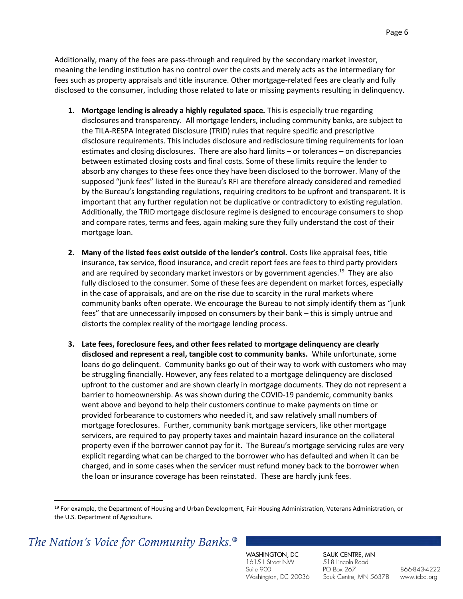Additionally, many of the fees are pass-through and required by the secondary market investor, meaning the lending institution has no control over the costs and merely acts as the intermediary for fees such as property appraisals and title insurance. Other mortgage-related fees are clearly and fully disclosed to the consumer, including those related to late or missing payments resulting in delinquency.

- **1. Mortgage lending is already a highly regulated space.** This is especially true regarding disclosures and transparency. All mortgage lenders, including community banks, are subject to the TILA-RESPA Integrated Disclosure (TRID) rules that require specific and prescriptive disclosure requirements. This includes disclosure and redisclosure timing requirements for loan estimates and closing disclosures. There are also hard limits – or tolerances – on discrepancies between estimated closing costs and final costs. Some of these limits require the lender to absorb any changes to these fees once they have been disclosed to the borrower. Many of the supposed "junk fees" listed in the Bureau's RFI are therefore already considered and remedied by the Bureau's longstanding regulations, requiring creditors to be upfront and transparent. It is important that any further regulation not be duplicative or contradictory to existing regulation. Additionally, the TRID mortgage disclosure regime is designed to encourage consumers to shop and compare rates, terms and fees, again making sure they fully understand the cost of their mortgage loan.
- **2. Many of the listed fees exist outside of the lender's control.** Costs like appraisal fees, title insurance, tax service, flood insurance, and credit report fees are fees to third party providers and are required by secondary market investors or by government agencies.<sup>19</sup> They are also fully disclosed to the consumer. Some of these fees are dependent on market forces, especially in the case of appraisals, and are on the rise due to scarcity in the rural markets where community banks often operate. We encourage the Bureau to not simply identify them as "junk fees" that are unnecessarily imposed on consumers by their bank – this is simply untrue and distorts the complex reality of the mortgage lending process.
- **3. Late fees, foreclosure fees, and other fees related to mortgage delinquency are clearly disclosed and represent a real, tangible cost to community banks.** While unfortunate, some loans do go delinquent. Community banks go out of their way to work with customers who may be struggling financially. However, any fees related to a mortgage delinquency are disclosed upfront to the customer and are shown clearly in mortgage documents. They do not represent a barrier to homeownership. As was shown during the COVID-19 pandemic, community banks went above and beyond to help their customers continue to make payments on time or provided forbearance to customers who needed it, and saw relatively small numbers of mortgage foreclosures. Further, community bank mortgage servicers, like other mortgage servicers, are required to pay property taxes and maintain hazard insurance on the collateral property even if the borrower cannot pay for it. The Bureau's mortgage servicing rules are very explicit regarding what can be charged to the borrower who has defaulted and when it can be charged, and in some cases when the servicer must refund money back to the borrower when the loan or insurance coverage has been reinstated. These are hardly junk fees.

### The Nation's Voice for Community Banks.<sup>®</sup>

WASHINGTON, DC 1615 L Street NW Suite 900 Washington, DC 20036 SAUK CENTRE, MN 518 Lincoln Road PO Box 267 Sauk Centre, MN 56378

<sup>&</sup>lt;sup>19</sup> For example, the Department of Housing and Urban Development, Fair Housing Administration, Veterans Administration, or the U.S. Department of Agriculture.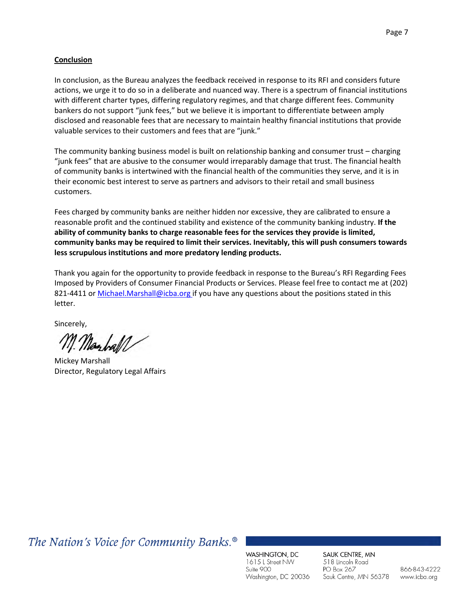#### **Conclusion**

In conclusion, as the Bureau analyzes the feedback received in response to its RFI and considers future actions, we urge it to do so in a deliberate and nuanced way. There is a spectrum of financial institutions with different charter types, differing regulatory regimes, and that charge different fees. Community bankers do not support "junk fees," but we believe it is important to differentiate between amply disclosed and reasonable fees that are necessary to maintain healthy financial institutions that provide valuable services to their customers and fees that are "junk."

The community banking business model is built on relationship banking and consumer trust – charging "junk fees" that are abusive to the consumer would irreparably damage that trust. The financial health of community banks is intertwined with the financial health of the communities they serve, and it is in their economic best interest to serve as partners and advisors to their retail and small business customers.

Fees charged by community banks are neither hidden nor excessive, they are calibrated to ensure a reasonable profit and the continued stability and existence of the community banking industry. **If the ability of community banks to charge reasonable fees for the services they provide is limited, community banks may be required to limit their services. Inevitably, this will push consumers towards less scrupulous institutions and more predatory lending products.** 

Thank you again for the opportunity to provide feedback in response to the Bureau's RFI Regarding Fees Imposed by Providers of Consumer Financial Products or Services. Please feel free to contact me at (202) 821-4411 or [Michael.Marshall@icba.org](mailto:Michael.Marshall@icba.org) if you have any questions about the positions stated in this letter.

Sincerely,

n. Marball

Mickey Marshall Director, Regulatory Legal Affairs

The Nation's Voice for Community Banks.<sup>®</sup>

WASHINGTON, DC 1615 L Street NW Suite 900 Washington, DC 20036 SAUK CENTRE, MN 518 Lincoln Road PO Box 267 Sauk Centre, MN 56378